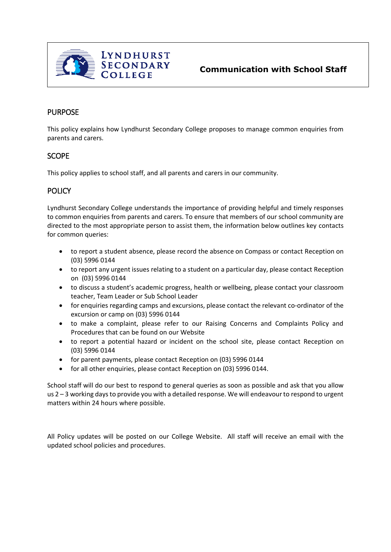

### PURPOSE

This policy explains how Lyndhurst Secondary College proposes to manage common enquiries from parents and carers.

#### **SCOPE**

This policy applies to school staff, and all parents and carers in our community.

# **POLICY**

Lyndhurst Secondary College understands the importance of providing helpful and timely responses to common enquiries from parents and carers. To ensure that members of our school community are directed to the most appropriate person to assist them, the information below outlines key contacts for common queries:

- to report a student absence, please record the absence on Compass or contact Reception on (03) 5996 0144
- to report any urgent issues relating to a student on a particular day, please contact Reception on (03) 5996 0144
- to discuss a student's academic progress, health or wellbeing, please contact your classroom teacher, Team Leader or Sub School Leader
- for enquiries regarding camps and excursions, please contact the relevant co-ordinator of the excursion or camp on (03) 5996 0144
- to make a complaint, please refer to our Raising Concerns and Complaints Policy and Procedures that can be found on our Website
- to report a potential hazard or incident on the school site, please contact Reception on (03) 5996 0144
- for parent payments, please contact Reception on (03) 5996 0144
- for all other enquiries, please contact Reception on (03) 5996 0144.

School staff will do our best to respond to general queries as soon as possible and ask that you allow us 2 – 3 working days to provide you with a detailed response. We will endeavour to respond to urgent matters within 24 hours where possible.

All Policy updates will be posted on our College Website. All staff will receive an email with the updated school policies and procedures.